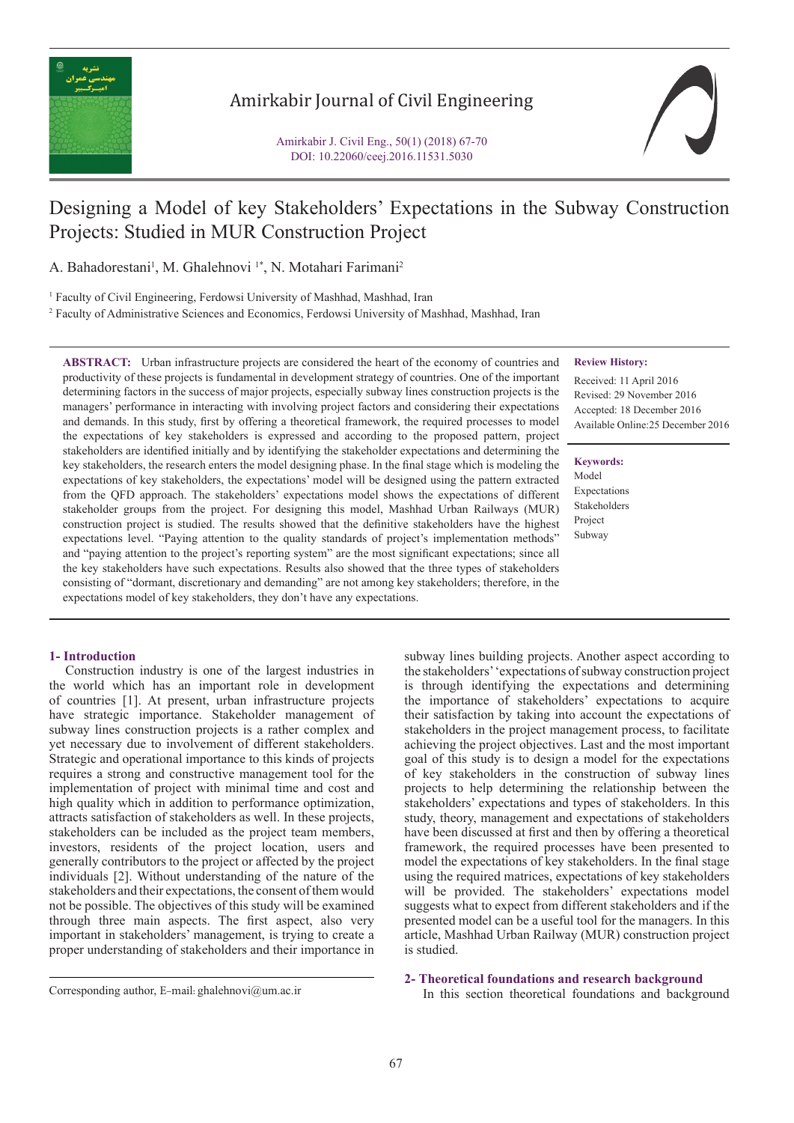

### Amirkabir Journal of Civil Engineering

## Designing a Model of key Stakeholders' Expectations in the Subway Construction Projects: Studied in MUR Construction Project

A. Bahadorestani<sup>1</sup>, M. Ghalehnovi<sup>1\*</sup>, N. Motahari Farimani<sup>2</sup>

<sup>1</sup> Faculty of Civil Engineering, Ferdowsi University of Mashhad, Mashhad, Iran

2 Faculty of Administrative Sciences and Economics, Ferdowsi University of Mashhad, Mashhad, Iran

**ABSTRACT:** Urban infrastructure projects are considered the heart of the economy of countries and productivity of these projects is fundamental in development strategy of countries. One of the important determining factors in the success of major projects, especially subway lines construction projects is the managers' performance in interacting with involving project factors and considering their expectations and demands. In this study, first by offering a theoretical framework, the required processes to model the expectations of key stakeholders is expressed and according to the proposed pattern, project stakeholders are identified initially and by identifying the stakeholder expectations and determining the key stakeholders, the research enters the model designing phase. In the final stage which is modeling the expectations of key stakeholders, the expectations' model will be designed using the pattern extracted from the QFD approach. The stakeholders' expectations model shows the expectations of different stakeholder groups from the project. For designing this model, Mashhad Urban Railways (MUR) construction project is studied. The results showed that the definitive stakeholders have the highest expectations level. "Paying attention to the quality standards of project's implementation methods" and "paying attention to the project's reporting system" are the most significant expectations; since all the key stakeholders have such expectations. Results also showed that the three types of stakeholders consisting of "dormant, discretionary and demanding" are not among key stakeholders; therefore, in the expectations model of key stakeholders, they don't have any expectations.

#### **1- Introduction**

 Construction industry is one of the largest industries in the world which has an important role in development of countries [1]. At present, urban infrastructure projects have strategic importance. Stakeholder management of subway lines construction projects is a rather complex and yet necessary due to involvement of different stakeholders. Strategic and operational importance to this kinds of projects requires a strong and constructive management tool for the implementation of project with minimal time and cost and high quality which in addition to performance optimization, attracts satisfaction of stakeholders as well. In these projects, stakeholders can be included as the project team members, investors, residents of the project location, users and generally contributors to the project or affected by the project individuals [2]. Without understanding of the nature of the stakeholders and their expectations, the consent of them would not be possible. The objectives of this study will be examined through three main aspects. The first aspect, also very important in stakeholders' management, is trying to create a proper understanding of stakeholders and their importance in

#### **Review History:**

Received: 11 April 2016 Revised: 29 November 2016 Accepted: 18 December 2016 Available Online:25 December 2016

#### **Keywords:**

Model Expectations Stakeholders Project Subway

subway lines building projects. Another aspect according to the stakeholders' 'expectations of subway construction project is through identifying the expectations and determining the importance of stakeholders' expectations to acquire their satisfaction by taking into account the expectations of stakeholders in the project management process, to facilitate achieving the project objectives. Last and the most important goal of this study is to design a model for the expectations of key stakeholders in the construction of subway lines projects to help determining the relationship between the stakeholders' expectations and types of stakeholders. In this study, theory, management and expectations of stakeholders have been discussed at first and then by offering a theoretical framework, the required processes have been presented to model the expectations of key stakeholders. In the final stage using the required matrices, expectations of key stakeholders will be provided. The stakeholders' expectations model suggests what to expect from different stakeholders and if the presented model can be a useful tool for the managers. In this article, Mashhad Urban Railway (MUR) construction project is studied.

# **2- Theoretical foundations and research background**<br>
Corresponding author, E-mail: ghalehnovi@um.ac.ir<br>
In this section theoretical foundations and background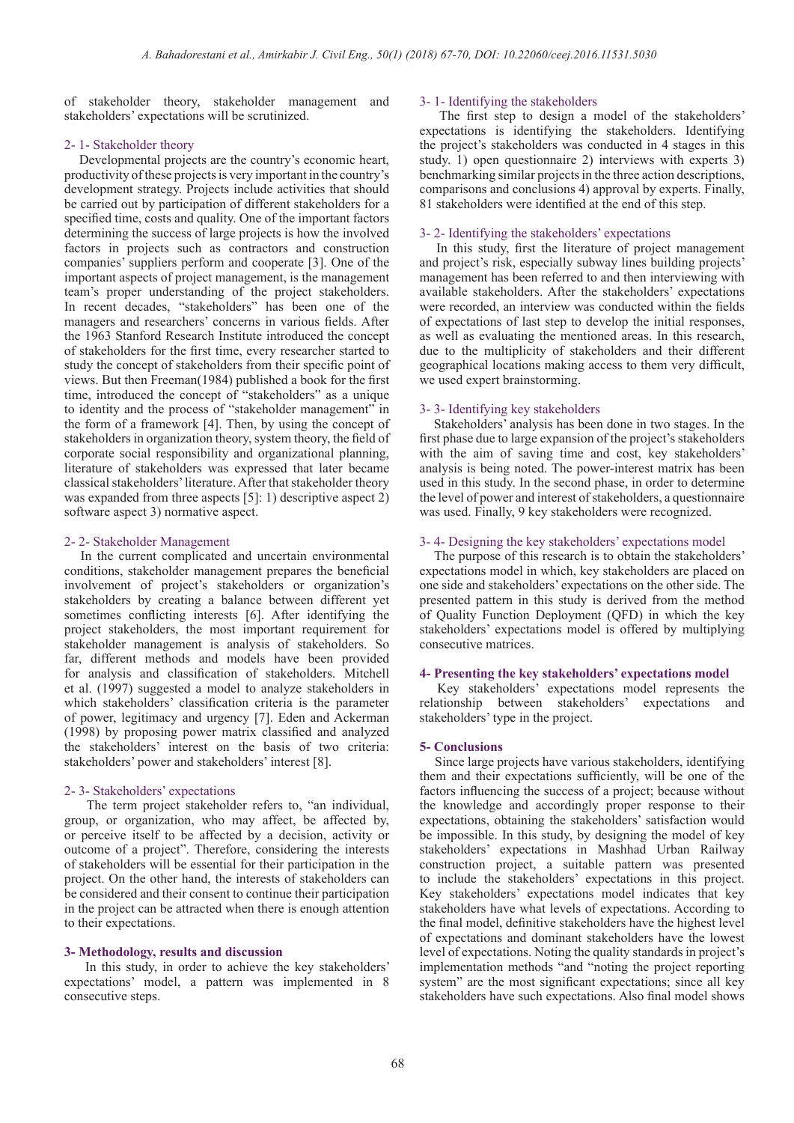of stakeholder theory, stakeholder management and stakeholders' expectations will be scrutinized.

#### 2- 1- Stakeholder theory

 Developmental projects are the country's economic heart, productivity of these projects is very important in the country's development strategy. Projects include activities that should be carried out by participation of different stakeholders for a specified time, costs and quality. One of the important factors determining the success of large projects is how the involved factors in projects such as contractors and construction companies' suppliers perform and cooperate [3]. One of the important aspects of project management, is the management team's proper understanding of the project stakeholders. In recent decades, "stakeholders" has been one of the managers and researchers' concerns in various fields. After the 1963 Stanford Research Institute introduced the concept of stakeholders for the first time, every researcher started to study the concept of stakeholders from their specific point of views. But then Freeman(1984) published a book for the first time, introduced the concept of "stakeholders" as a unique to identity and the process of "stakeholder management" in the form of a framework [4]. Then, by using the concept of stakeholders in organization theory, system theory, the field of corporate social responsibility and organizational planning, literature of stakeholders was expressed that later became classical stakeholders' literature. After that stakeholder theory was expanded from three aspects [5]: 1) descriptive aspect 2) software aspect 3) normative aspect.

#### 2- 2- Stakeholder Management

 In the current complicated and uncertain environmental conditions, stakeholder management prepares the beneficial involvement of project's stakeholders or organization's stakeholders by creating a balance between different yet sometimes conflicting interests [6]. After identifying the project stakeholders, the most important requirement for stakeholder management is analysis of stakeholders. So far, different methods and models have been provided for analysis and classification of stakeholders. Mitchell et al. (1997) suggested a model to analyze stakeholders in which stakeholders' classification criteria is the parameter of power, legitimacy and urgency [7]. Eden and Ackerman (1998) by proposing power matrix classified and analyzed the stakeholders' interest on the basis of two criteria: stakeholders' power and stakeholders' interest [8].

#### 2- 3- Stakeholders' expectations

 The term project stakeholder refers to, "an individual, group, or organization, who may affect, be affected by, or perceive itself to be affected by a decision, activity or outcome of a project". Therefore, considering the interests of stakeholders will be essential for their participation in the project. On the other hand, the interests of stakeholders can be considered and their consent to continue their participation in the project can be attracted when there is enough attention to their expectations.

#### **3- Methodology, results and discussion**

 In this study, in order to achieve the key stakeholders' expectations' model, a pattern was implemented in 8 consecutive steps.

#### 3- 1- Identifying the stakeholders

 The first step to design a model of the stakeholders' expectations is identifying the stakeholders. Identifying the project's stakeholders was conducted in 4 stages in this study. 1) open questionnaire 2) interviews with experts 3) benchmarking similar projects in the three action descriptions, comparisons and conclusions 4) approval by experts. Finally, 81 stakeholders were identified at the end of this step.

#### 3- 2- Identifying the stakeholders' expectations

 In this study, first the literature of project management and project's risk, especially subway lines building projects' management has been referred to and then interviewing with available stakeholders. After the stakeholders' expectations were recorded, an interview was conducted within the fields of expectations of last step to develop the initial responses, as well as evaluating the mentioned areas. In this research, due to the multiplicity of stakeholders and their different geographical locations making access to them very difficult, we used expert brainstorming.

#### 3- 3- Identifying key stakeholders

 Stakeholders' analysis has been done in two stages. In the first phase due to large expansion of the project's stakeholders with the aim of saving time and cost, key stakeholders' analysis is being noted. The power-interest matrix has been used in this study. In the second phase, in order to determine the level of power and interest of stakeholders, a questionnaire was used. Finally, 9 key stakeholders were recognized.

#### 3- 4- Designing the key stakeholders' expectations model

 The purpose of this research is to obtain the stakeholders' expectations model in which, key stakeholders are placed on one side and stakeholders' expectations on the other side. The presented pattern in this study is derived from the method of Quality Function Deployment (QFD) in which the key stakeholders' expectations model is offered by multiplying consecutive matrices.

#### **4- Presenting the key stakeholders' expectations model**

 Key stakeholders' expectations model represents the relationship between stakeholders' expectations and stakeholders' type in the project.

#### **5- Conclusions**

 Since large projects have various stakeholders, identifying them and their expectations sufficiently, will be one of the factors influencing the success of a project; because without the knowledge and accordingly proper response to their expectations, obtaining the stakeholders' satisfaction would be impossible. In this study, by designing the model of key stakeholders' expectations in Mashhad Urban Railway construction project, a suitable pattern was presented to include the stakeholders' expectations in this project. Key stakeholders' expectations model indicates that key stakeholders have what levels of expectations. According to the final model, definitive stakeholders have the highest level of expectations and dominant stakeholders have the lowest level of expectations. Noting the quality standards in project's implementation methods "and "noting the project reporting system" are the most significant expectations; since all key stakeholders have such expectations. Also final model shows